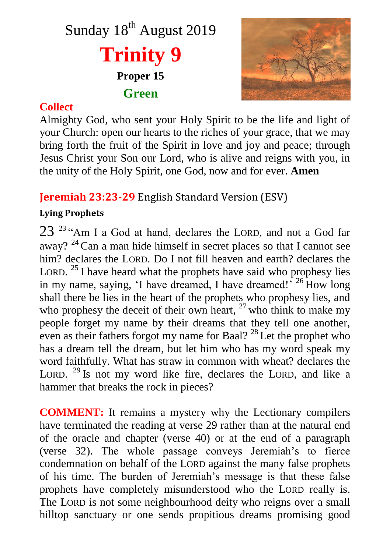



## **Collect**

Almighty God, who sent your Holy Spirit to be the life and light of your Church: open our hearts to the riches of your grace, that we may bring forth the fruit of the Spirit in love and joy and peace; through Jesus Christ your Son our Lord, who is alive and reigns with you, in the unity of the Holy Spirit, one God, now and for ever. **Amen**

# **Jeremiah 23:23-29** English Standard Version (ESV)

### **Lying Prophets**

23<sup>23</sup> "Am I a God at hand, declares the LORD, and not a God far away?  $2^4$  Can a man hide himself in secret places so that I cannot see him? declares the LORD. Do I not fill heaven and earth? declares the LORD.<sup>25</sup> I have heard what the prophets have said who prophesy lies in my name, saying, 'I have dreamed, I have dreamed!' <sup>26</sup> How long shall there be lies in the heart of the prophets who prophesy lies, and who prophesy the deceit of their own heart,  $27$  who think to make my people forget my name by their dreams that they tell one another, even as their fathers forgot my name for Baal?<sup>28</sup> Let the prophet who has a dream tell the dream, but let him who has my word speak my word faithfully. What has straw in common with wheat? declares the LORD.  $^{29}$  Is not my word like fire, declares the LORD, and like a hammer that breaks the rock in pieces?

**COMMENT:** It remains a mystery why the Lectionary compilers have terminated the reading at verse 29 rather than at the natural end of the oracle and chapter (verse 40) or at the end of a paragraph (verse 32). The whole passage conveys Jeremiah's to fierce condemnation on behalf of the LORD against the many false prophets of his time. The burden of Jeremiah's message is that these false prophets have completely misunderstood who the LORD really is. The LORD is not some neighbourhood deity who reigns over a small hilltop sanctuary or one sends propitious dreams promising good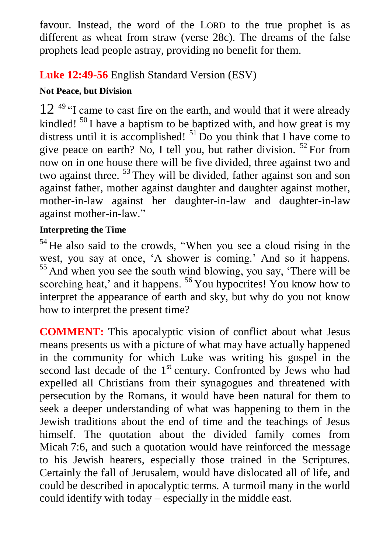favour. Instead, the word of the LORD to the true prophet is as different as wheat from straw (verse 28c). The dreams of the false prophets lead people astray, providing no benefit for them.

# **Luke 12:49-56** English Standard Version (ESV)

## **Not Peace, but Division**

 $12^{49}$  "I came to cast fire on the earth, and would that it were already kindled!  $50$  I have a baptism to be baptized with, and how great is my distress until it is accomplished!  $51$  Do you think that I have come to give peace on earth? No, I tell you, but rather division.  $52$  For from now on in one house there will be five divided, three against two and two against three. <sup>53</sup> They will be divided, father against son and son against father, mother against daughter and daughter against mother, mother-in-law against her daughter-in-law and daughter-in-law against mother-in-law."

### **Interpreting the Time**

<sup>54</sup> He also said to the crowds, "When you see a cloud rising in the west, you say at once, 'A shower is coming.' And so it happens. <sup>55</sup> And when you see the south wind blowing, you say, 'There will be scorching heat,' and it happens. <sup>56</sup> You hypocrites! You know how to interpret the appearance of earth and sky, but why do you not know how to interpret the present time?

**COMMENT:** This apocalyptic vision of conflict about what Jesus means presents us with a picture of what may have actually happened in the community for which Luke was writing his gospel in the second last decade of the  $1<sup>st</sup>$  century. Confronted by Jews who had expelled all Christians from their synagogues and threatened with persecution by the Romans, it would have been natural for them to seek a deeper understanding of what was happening to them in the Jewish traditions about the end of time and the teachings of Jesus himself. The quotation about the divided family comes from Micah 7:6, and such a quotation would have reinforced the message to his Jewish hearers, especially those trained in the Scriptures. Certainly the fall of Jerusalem, would have dislocated all of life, and could be described in apocalyptic terms. A turmoil many in the world could identify with today – especially in the middle east.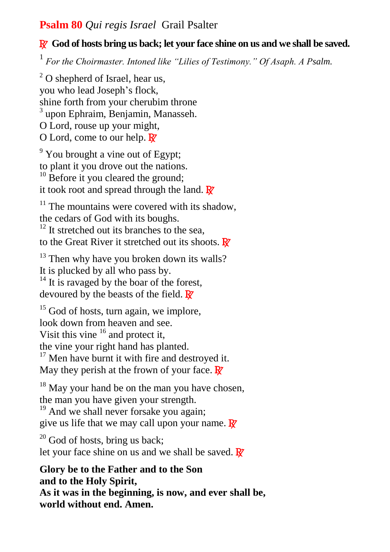## **Psalm 80** *Qui regis Israel* Grail Psalter

### R **God of hosts bring us back; let your face shine on us and we shall be saved.**

1 *For the Choirmaster. Intoned like "Lilies of Testimony." Of Asaph. A Psalm.*

 $2^2$  O shepherd of Israel, hear us, you who lead Joseph's flock, shine forth from your cherubim throne <sup>3</sup> upon Ephraim, Benjamin, Manasseh. O Lord, rouse up your might, O Lord, come to our help.  $\mathbb{R}^7$ 

 $9$  You brought a vine out of Egypt; to plant it you drove out the nations.

 $10$  Before it you cleared the ground; it took root and spread through the land.  $\mathbf{R}$ 

 $11$  The mountains were covered with its shadow, the cedars of God with its boughs.

 $12$  It stretched out its branches to the sea, to the Great River it stretched out its shoots.  $\mathbf{\mathbb{F}}$ 

 $13$  Then why have you broken down its walls? It is plucked by all who pass by.

 $14$  It is ravaged by the boar of the forest, devoured by the beasts of the field.  $\mathbf{R}^{\prime}$ 

 $15$  God of hosts, turn again, we implore. look down from heaven and see. Visit this vine  $16$  and protect it, the vine your right hand has planted.  $17$  Men have burnt it with fire and destroyed it.

May they perish at the frown of your face.  $\mathbb{R}^7$ 

 $18$  May your hand be on the man you have chosen, the man you have given your strength. <sup>19</sup> And we shall never forsake you again;

give us life that we may call upon your name.  $\mathbb{R}^7$ 

 $20$  God of hosts, bring us back; let your face shine on us and we shall be saved.  $\mathbf{R}$ <sup>*i*</sup>

**Glory be to the Father and to the Son and to the Holy Spirit, As it was in the beginning, is now, and ever shall be, world without end. Amen.**